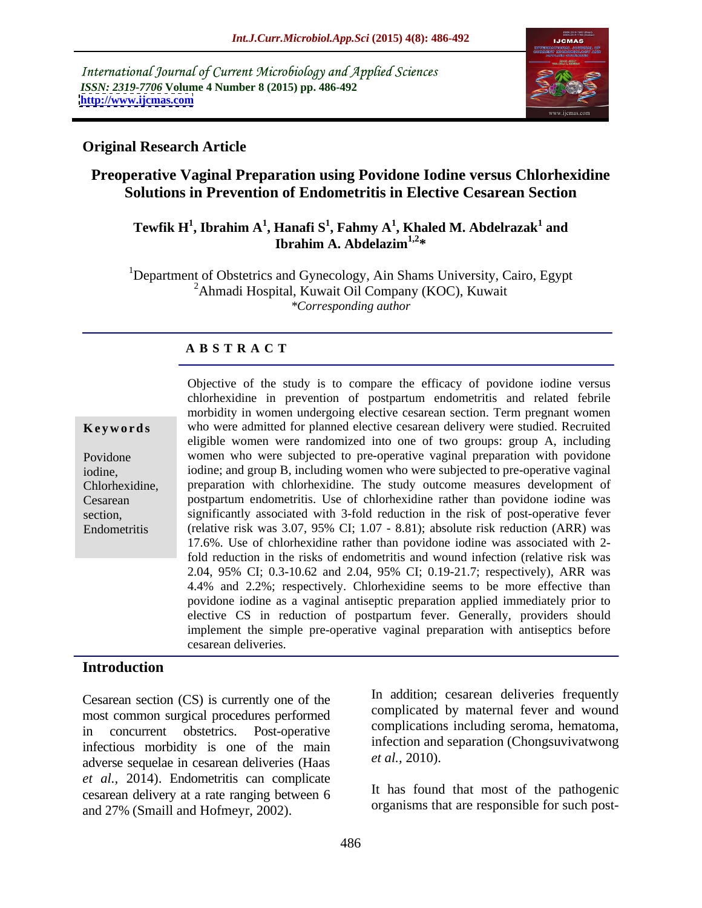International Journal of Current Microbiology and Applied Sciences *ISSN: 2319-7706* **Volume 4 Number 8 (2015) pp. 486-492 <http://www.ijcmas.com>**



## **Original Research Article**

# **Preoperative Vaginal Preparation using Povidone Iodine versus Chlorhexidine Solutions in Prevention of Endometritis in Elective Cesarean Section**

#### $\mathbf{T}$ ewfik  $\mathbf{H}^1$ , Ibrahim  $\mathbf{A}^1$ , Hanafi  $\mathbf{S}^1$ , Fahmy  $\mathbf{A}^1$ , Khaled M. Abdelrazak $^1$  and **and Ibrahim A. Abdelazim1,2\***

<sup>1</sup>Department of Obstetrics and Gynecology, Ain Shams University, Cairo, Egypt  $2$ Ahmadi Hospital, Kuwait Oil Company (KOC), Kuwait *\*Corresponding author*

#### **A B S T R A C T**

|  |  |  | Keywords |
|--|--|--|----------|
|  |  |  |          |

Endometritis

Objective of the study is to compare the efficacy of povidone iodine versus chlorhexidine in prevention of postpartum endometritis and related febrile morbidity in women undergoing elective cesarean section. Term pregnant women **Keywords** who were admitted for planned elective cesarean delivery were studied. Recruited eligible women were randomized into one of two groups: group A, including Povidone women who were subjected to pre-operative vaginal preparation with povidone iodine; and group B, including women who were subjected to pre-operative vaginal iodine, preparation with chlorhexidine. The study outcome measures development of Chlorhexidine, postpartum endometritis. Use of chlorhexidine rather than povidone iodine was Cesarean section, significantly associated with 3-fold reduction in the risk of post-operative fever (relative risk was 3.07, 95% CI; 1.07 - 8.81); absolute risk reduction (ARR) was 17.6%. Use of chlorhexidine rather than povidone iodine was associated with 2 fold reduction in the risks of endometritis and wound infection (relative risk was 2.04, 95% CI; 0.3-10.62 and 2.04, 95% CI; 0.19-21.7; respectively), ARR was 4.4% and 2.2%; respectively. Chlorhexidine seems to be more effective than povidone iodine as a vaginal antiseptic preparation applied immediately prior to elective CS in reduction of postpartum fever. Generally, providers should implement the simple pre-operative vaginal preparation with antiseptics before cesarean deliveries.

# **Introduction**

most common surgical procedures performed in concurrent obstetrics. Post-operative complications including seroma, hematoma, infectious morbidity is one of the main<br>education and netral and  $et al., 2010$ . adverse sequelae in cesarean deliveries (Haas *et al.,* 2014). Endometritis can complicate cesarean delivery at a rate ranging between 6 Cesarean section (CS) is currently one of the<br>
most common surgical procedures performed<br>
in concurrent obstetrics. Post-operative<br>
infectious morbidity is one of the main<br>
adverse sequelae in cesarean deliveries (Haas<br>

Cesarean section (CS) is currently one of the **In** addition; cesarean deliveries frequently complicated by maternal fever and wound infection and separation (Chongsuvivatwong *et al.,* 2010).

> It has found that most of the pathogenic organisms that are responsible for such post-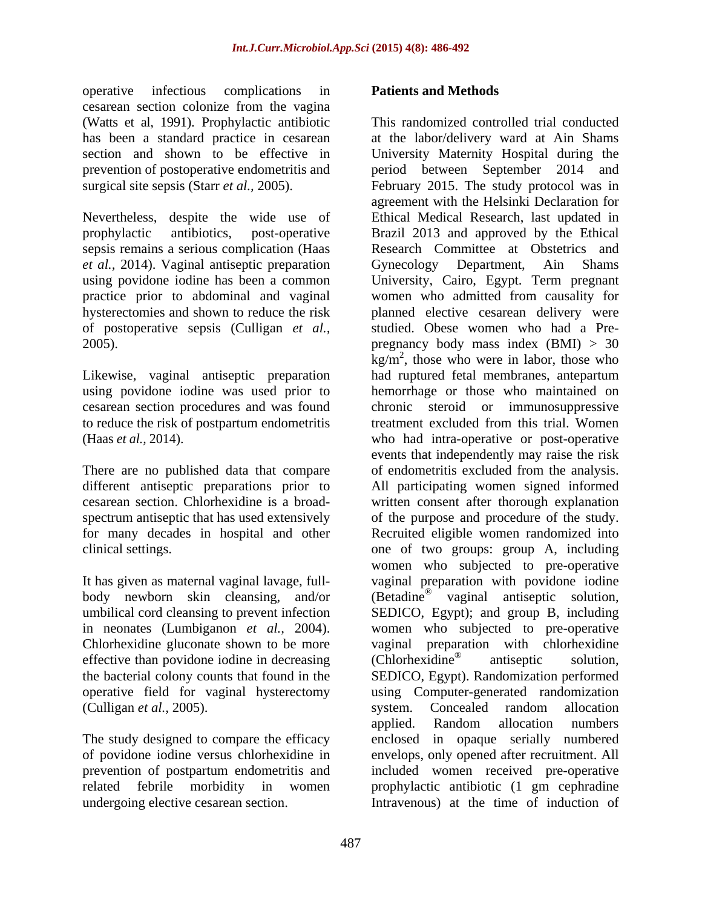operative infectious complications in **Patients and Methods** cesarean section colonize from the vagina (Watts et al, 1991). Prophylactic antibiotic

sepsis remains a serious complication (Haas *et al.,* 2014). Vaginal antiseptic preparation

Likewise, vaginal antiseptic preparation

There are no published data that compare for many decades in hospital and other

effective than povidone iodine in decreasing (Chlorhexidine<sup>®</sup> antiseptic solution, the bacterial colony counts that found in the SEDICO, Egypt). Randomization performed

undergoing elective cesarean section. Intravenous) at the time of induction of

### **Patients and Methods**

has been a standard practice in cesarean at the labor/delivery ward at Ain Shams section and shown to be effective in University Maternity Hospital during the prevention of postoperative endometritis and period between September 2014 and surgical site sepsis (Starr *et al.*, 2005). February 2015. The study protocol was in<br>agreement with the Helsinki Declaration for<br>Nevertheless, despite the wide use of Ethical Medical Research, last updated in prophylactic antibiotics, post-operative Brazil 2013 and approved by the Ethical using povidone iodine has been a common University, Cairo, Egypt. Term pregnant practice prior to abdominal and vaginal women who admitted from causality for hysterectomies and shown to reduce the risk planned elective cesarean delivery were of postoperative sepsis (Culligan *et al.,* studied. Obese women who had a Pre- 2005). pregnancy body mass index (BMI) > 30 using povidone iodine was used prior to hemorrhage or those who maintained on cesarean section procedures and was found chronic steroid or immunosuppressive to reduce the risk of postpartum endometritis treatment excluded from this trial. Women (Haas *et al.,* 2014). who had intra-operative or post-operative different antiseptic preparations prior to All participating women signed informed cesarean section. Chlorhexidine is a broad- written consent after thorough explanation spectrum antiseptic that has used extensively of the purpose and procedure of the study. clinical settings. one of two groups: group A, including It has given as maternal vaginal lavage, full- vaginal preparation with povidone iodine body newborn skin cleansing, and/or (Betadine<sup>®</sup> vaginal antiseptic solution, umbilical cord cleansing to prevent infection SEDICO, Egypt); and group B, including in neonates (Lumbiganon *et al.*, 2004). women who subjected to pre-operative Chlorhexidine gluconate shown to be more vaginal preparation with chlorhexidine the bacterial colony counts that found in the SEDICO, Egypt). Randomization performed operative field for vaginal hysterectomy using Computer-generated randomization (Culligan *et al.*, 2005). System. Concealed random allocation<br>applied. Random allocation numbers<br>The study designed to compare the efficacy enclosed in opaque serially numbered of povidone iodine versus chlorhexidine in envelops, only opened after recruitment. All prevention of postpartum endometritis and included women received pre-operative related febrile morbidity in women prophylactic antibiotic (1 gm cephradine This randomized controlled trial conducted February 2015. The study protocol was in agreement with the Helsinki Declaration for Ethical Medical Research, last updated in Research Committee at Obstetrics and Gynecology Department,  $\text{kg/m}^2$ , those who were in labor, those who had ruptured fetal membranes, antepartum events that independently may raise the risk of endometritis excluded from the analysis. Recruited eligible women randomized into women who subjected to pre-operative women who subjected to pre-operative vaginal preparation with chlorhexidine (Chlorhexidine® antiseptic solution, system. Concealed random allocation applied. Random allocation numbers enclosed in opaque serially numbered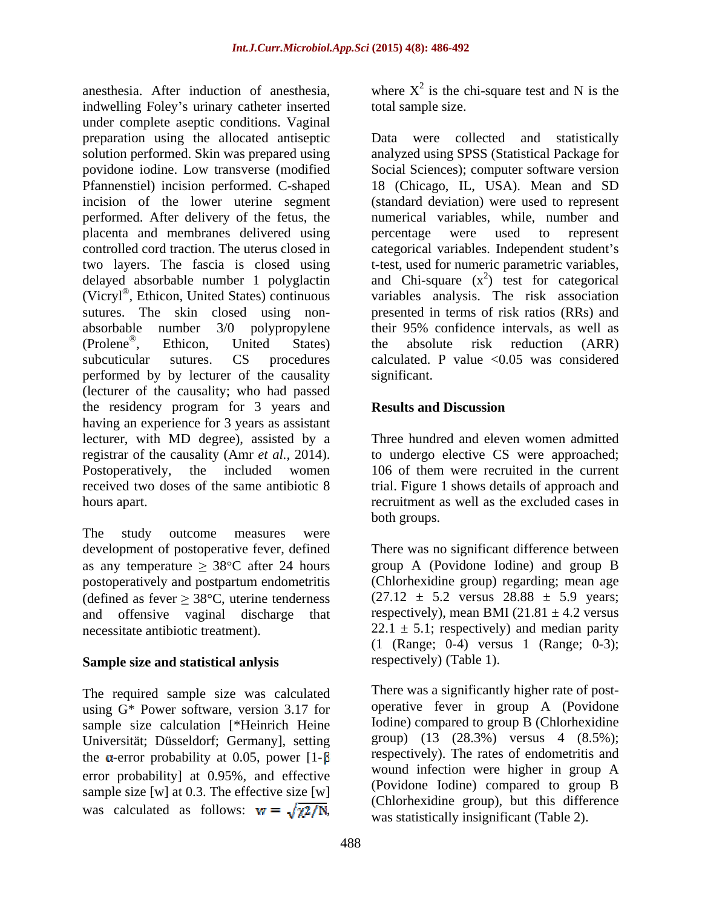indwelling Foley's urinary catheter inserted under complete aseptic conditions. Vaginal preparation using the allocated antiseptic Data were collected and statistically solution performed. Skin was prepared using analyzed using SPSS (Statistical Package for povidone iodine. Low transverse (modified Social Sciences); computer software version Pfannenstiel) incision performed. C-shaped 18 (Chicago, IL, USA). Mean and SD incision of the lower uterine segment (standard deviation) were used to represent performed. After delivery of the fetus, the numerical variables, while, number and placenta and membranes delivered using controlled cord traction. The uterus closed in eategorical variables. Independent student's two layers. The fascia is closed using delayed absorbable number 1 polyglactin (Vicryl®, Ethicon, United States) continuous sutures. The skin closed using non- presented in terms of risk ratios (RRs) and absorbable number 3/0 polypropylene their 95% confidence intervals, as well as (Prolene®, Ethicon, United States) the absolute risk reduction (ARR) subcuticular sutures. CS procedures calculated. P value <0.05 was considered performed by by lecturer of the causality (lecturer of the causality; who had passed the residency program for 3 years and **Results and Discussion** having an experience for 3 years as assistant lecturer, with MD degree), assisted by a registrar of the causality (Amr *et al.,* 2014). to undergo elective CS were approached; Postoperatively, the included women 106 of them were recruited in the current received two doses of the same antibiotic 8 trial. Figure 1 shows details of approach and hours apart. anceless). After induction of anesdesic where  $X^2$  is the chi-square test and N is the chi-square test and N is the chi-square test and N is the chi-square test and N is the chi-square condition. Varying the condition of

The study outcome measures were as any temperature  $\geq 38^{\circ}$ C after 24 hours postoperatively and postpartum endometritis (defined as fever  $\geq 38^{\circ}$ C, uterine tenderness and offensive vaginal discharge that

### **Sample size and statistical anlysis**

The required sample size was calculated using G\* Power software, version 3.17 for sample size calculation [\*Heinrich Heine Universität; Düsseldorf; Germany], setting the  $\alpha$ -error probability at 0.05, power [1- $\beta$ ] error probability] at 0.95%, and effective sample size [w] at 0.3. The effective size [w]

anesthesia. After induction of anesthesia, where  $X^2$  is the chi-square test and N is the is the chi-square test and N is the total sample size.

, Ethicon, United States) continuous variables analysis. The risk association , Ethicon, United States) percentage were used to represent t-test, used for numeric parametric variables, and Chi-square  $(x^2)$  test for categorical the absolute risk reduction (ARR) significant.

# **Results and Discussion**

Three hundred and eleven women admitted both groups.

development of postoperative fever, defined There was no significant difference between necessitate antibiotic treatment).  $22.1 \pm 5.1$ ; respectively) and median parity group A (Povidone Iodine) and group B (Chlorhexidine group) regarding; mean age  $(27.12 \pm 5.2 \text{ versus } 28.88 \pm 5.9 \text{ years})$ respectively), mean BMI (21.81  $\pm$  4.2 versus (1 (Range; 0-4) versus 1 (Range; 0-3); respectively) (Table 1).

> There was a significantly higher rate of post operative fever in group A (Povidone Iodine) compared to group B (Chlorhexidine group) (13 (28.3%) versus 4 (8.5%); respectively). The rates of endometritis and wound infection were higher in group A (Povidone Iodine) compared to group B (Chlorhexidine group), but this difference was statistically insignificant (Table 2).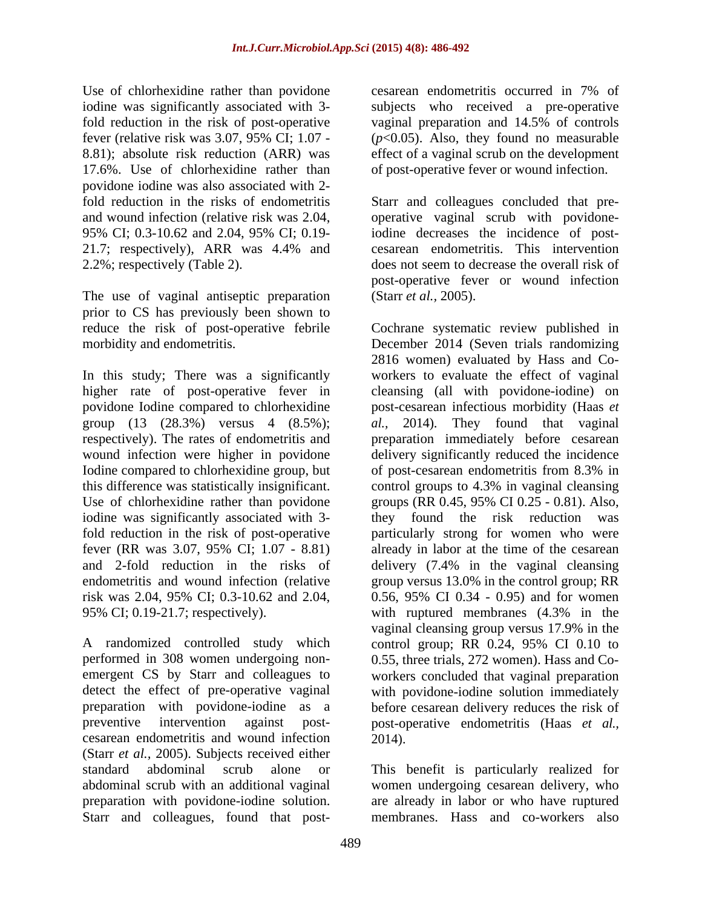Use of chlorhexidine rather than povidone cesarean endometritis occurred in 7% of 17.6%. Use of chlorhexidine rather than of post-operative fever or wound infection. povidone iodine was also associated with 2-

The use of vaginal antiseptic preparation (Starr *et al.*, 2005). prior to CS has previously been shown to reduce the risk of post-operative febrile Cochrane systematic review published in

In this study; There was a significantly Iodine compared to chlorhexidine group, but of post-cesarean endometritis from 8.3% in 95% CI; 0.19-21.7; respectively). with ruptured membranes (4.3% in the

A randomized controlled study which control group; RR 0.24, 95% CI 0.10 to performed in 308 women undergoing non- 0.55, three trials, 272 women). Has and Cocesarean endometritis and wound infection (Starr *et al.,* 2005). Subjects received either standard abdominal scrub alone or This benefit is particularly realized for abdominal scrub with an additional vaginal women undergoing cesarean delivery, who preparation with povidone-iodine solution. are already in labor or who have ruptured Starr and colleagues, found that post-

iodine was significantly associated with 3- subjects who received a pre-operative fold reduction in the risk of post-operative vaginal preparation and 14.5% of controls fever (relative risk was 3.07, 95% CI;  $1.07 - (p<0.05)$ . Also, they found no measurable 8.81); absolute risk reduction (ARR) was effect of a vaginal scrub on the development cesarean endometritis occurred in 7% of

fold reduction in the risks of endometritis Starr and colleagues concluded that pre and wound infection (relative risk was 2.04, operative vaginal scrub with povidone-95% CI; 0.3-10.62 and 2.04, 95% CI; 0.19- 21.7; respectively), ARR was 4.4% and cesarean endometritis. This intervention 2.2%; respectively (Table 2). does not seem to decrease the overall risk of iodine decreases the incidence of post cesarean endometritis. This intervention post-operative fever or wound infection

morbidity and endometritis. December 2014 (Seven trials randomizing higher rate of post-operative fever in cleansing (all with povidone-iodine) on povidone Iodine compared to chlorhexidine post-cesarean infectious morbidity (Haas *et*  group (13 (28.3%) versus 4 (8.5%); *al.,* 2014). They found that vaginal respectively). The rates of endometritis and preparation immediately before cesarean wound infection were higher in povidone delivery significantly reduced the incidence this difference was statistically insignificant. control groups to 4.3% in vaginal cleansing Use of chlorhexidine rather than povidone groups (RR 0.45, 95% CI 0.25 - 0.81). Also, iodine was significantly associated with 3- they found the risk reduction was fold reduction in the risk of post-operative particularly strong for women who were fever (RR was 3.07, 95% CI; 1.07 - 8.81) already in labor at the time of the cesarean and 2-fold reduction in the risks of delivery (7.4% in the vaginal cleansing endometritis and wound infection (relative group versus 13.0% in the control group; RR risk was 2.04, 95% CI; 0.3-10.62 and 2.04, 0.56, 95% CI 0.34 - 0.95) and for women performed in 308 women undergoing non- 0.55, three trials, 272 women). Hass and Co emergent CS by Starr and colleagues to workers concluded that vaginal preparation detect the effect of pre-operative vaginal with povidone-iodine solution immediately preparation with povidone-iodine as a before cesarean delivery reduces the risk of preventive intervention against post- post-operative endometritis (Haas *et al.,* (Starr *et al.*, 2005).<br>Cochrane systematic review published in 2816 women) evaluated by Hass and Co workers to evaluate the effect of vaginal of post-cesarean endometritis from 8.3% in with ruptured membranes (4.3% in the vaginal cleansing group versus 17.9% in the control group; RR 0.24, 95% CI 0.10 to 2014).

membranes. Hass and co-workers also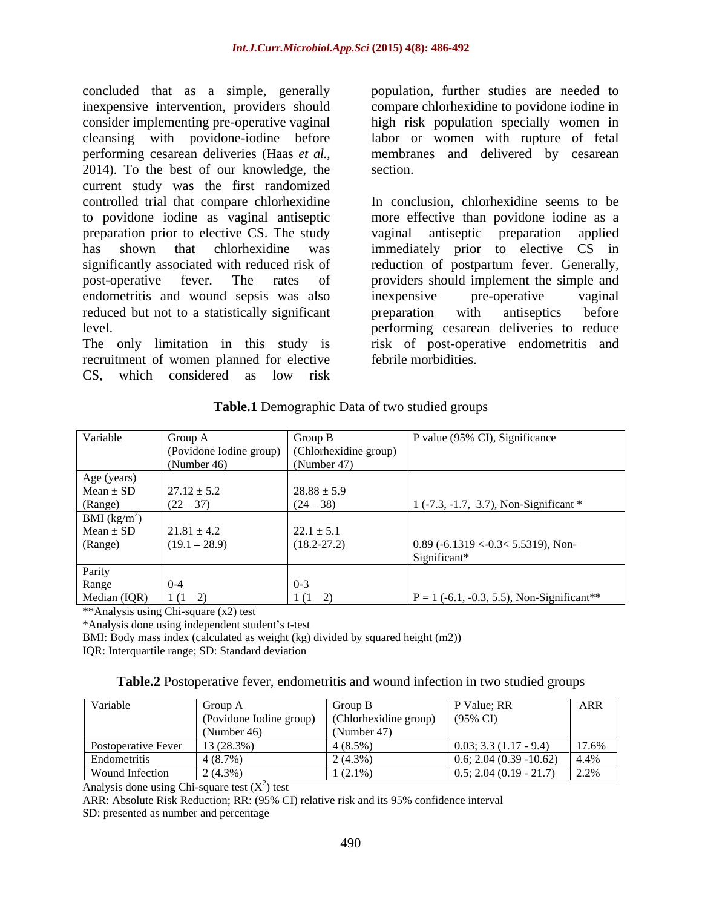concluded that as a simple, generally inexpensive intervention, providers should compare chlorhexidine to povidone iodine in consider implementing pre-operative vaginal high risk population specially women in cleansing with povidone-iodine before labor or women with rupture of fetal performing cesarean deliveries (Haas *et al.,* 2014). To the best of our knowledge, the current study was the first randomized controlled trial that compare chlorhexidine to povidone iodine as vaginal antiseptic preparation prior to elective CS. The study endometritis and wound sepsis was also inexpensive pre-operative vaginal reduced but not to a statistically significant **permission** with antiseptics before

recruitment of women planned for elective CS, which considered as low risk

population, further studies are needed to membranes and delivered by cesarean section.

has shown that chlorhexidine was immediately prior to elective CS in significantly associated with reduced risk of reduction of postpartum fever. Generally, post-operative fever. The rates of providers should implement the simple and level. performing cesarean deliveries to reduce The only limitation in this study is risk of post-operative endometritis and In conclusion, chlorhexidine seems to be more effective than povidone iodine as a vaginal antiseptic preparation applied inexpensive pre-operative vaginal preparation with antiseptics before febrile morbidities.

| Variable       | Group A                                       | Group B         | P value (95% CI), Significance                                                               |
|----------------|-----------------------------------------------|-----------------|----------------------------------------------------------------------------------------------|
|                | (Povidone Iodine group) (Chlorhexidine group) |                 |                                                                                              |
|                | (Number 46)                                   | (Number 47)     |                                                                                              |
| Age (years)    |                                               |                 |                                                                                              |
| $Mean \pm SD$  | $27.12 \pm 5.2$                               | $28.88 \pm 5.9$ |                                                                                              |
| (Range)        | $(22 - 37)$                                   | $(24 - 38)$     | $\left[ \begin{array}{cc} 1 & (-7.3, -1.7, 3.7), \text{Non-Significant} \end{array} \right]$ |
| BMI $(kg/m^2)$ |                                               |                 |                                                                                              |
| $Mean \pm SD$  | $21.81 \pm 4.2$                               | $22.1 \pm 5.1$  |                                                                                              |
| (Range)        | $(19.1 - 28.9)$                               | $(18.2 - 27.2)$ | $\vert$ 0.89 (-6.1319 <-0.3< 5.5319), Non-                                                   |
|                |                                               |                 | Significant*                                                                                 |
| Parity         |                                               |                 |                                                                                              |
| Range          | $0 - 4$                                       |                 |                                                                                              |
| Median (IQR)   | $1(1-2)$                                      | $1(1-2)$        | $P = 1$ (-6.1, -0.3, 5.5), Non-Significant**                                                 |

**Table.1** Demographic Data of two studied groups

\*\*Analysis using Chi-square (x2) test

\*Analysis done using independent student s t-test

BMI: Body mass index (calculated as weight (kg) divided by squared height (m2))

IQR: Interquartile range; SD: Standard deviation

| <b>Table.2</b> Postoperative fever, endometritis and wound infection in two studied g | <sup>t</sup> <sup>ad</sup> groups |  |
|---------------------------------------------------------------------------------------|-----------------------------------|--|
|                                                                                       |                                   |  |

| Variable                       |                                                                   |             | Value; RR                      | ARR   |
|--------------------------------|-------------------------------------------------------------------|-------------|--------------------------------|-------|
|                                | (Povidone Iodine group) (Chlorhexidine group) $(95\% \text{ CI})$ |             |                                |       |
|                                | (Number 46)                                                       | (Number 47) |                                |       |
| Postoperative Fever 13 (28.3%) |                                                                   | (4(8.5%)    | 0.03; 3.3 (1.17 - 9.4)         | 17.6% |
| Endometritis                   | 14(8.7%)                                                          | $12(4.3\%)$ | 6; 2.04 $(0.39 - 10.62)$ 4.4%  |       |
| <b>Wound Infection</b>         | 2(4.3%)                                                           | $1(2.1\%)$  | $0.5; 2.04 (0.19 - 21.7)$ 2.2% |       |

Analysis done using Chi-square test  $(X^2)$  test ) test

ARR: Absolute Risk Reduction; RR: (95% CI) relative risk and its 95% confidence interval SD: presented as number and percentage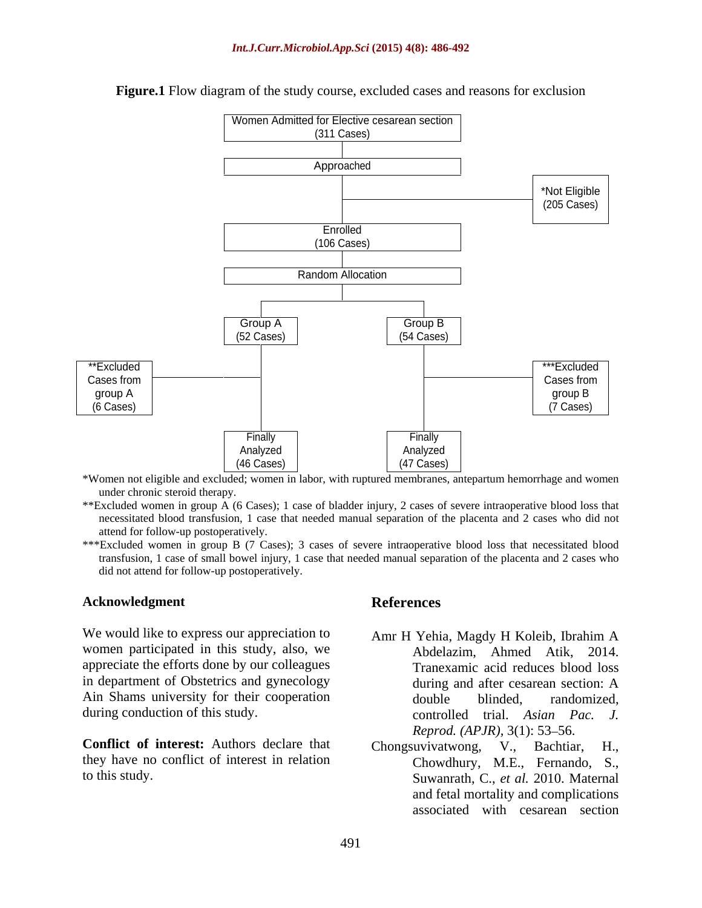

#### **Figure.1** Flow diagram of the study course, excluded cases and reasons for exclusion

\*Women not eligible and excluded; women in labor, with ruptured membranes, antepartum hemorrhage and women under chronic steroid therapy.

\*\*Excluded women in group A (6 Cases); 1 case of bladder injury, 2 casesof severe intraoperative blood loss that necessitated blood transfusion, 1 case that needed manual separation of the placenta and 2 cases who did not attend for follow-up postoperatively.

\*\*\*Excluded women in group B (7 Cases); 3 cases of severe intraoperative blood loss that necessitated blood transfusion, 1 case of small bowel injury, 1 case that needed manual separation of the placenta and 2 cases who did not attend for follow-up postoperatively.

### **Acknowledgment**

We would like to express our appreciation to women participated in this study, also, we appreciate the efforts done by our colleagues in department of Obstetrics and gynecology during and after cesarean section: A Ain Shams university for their cooperation double blinded. randomized.

**Conflict of interest:** Authors declare that Chongsuvivatwong, V., Bachtiar, H., they have no conflict of interest in relation

#### **References**

- during conduction of this study.<br>
controlled trial. Asian Pac. J. Amr H Yehia, Magdy H Koleib, Ibrahim A Abdelazim, Ahmed Atik, 2014. Tranexamic acid reduces blood loss during and after cesarean section: A double blinded, randomized, *Reprod.* (APJR), 3(1): 53–56.
- to this study. Suwanrath, C., *et al.* 2010. Maternal Chongsuvivatwong, V., Bachtiar, Chowdhury, M.E., Fernando, S., and fetal mortality and complications associated with cesarean section